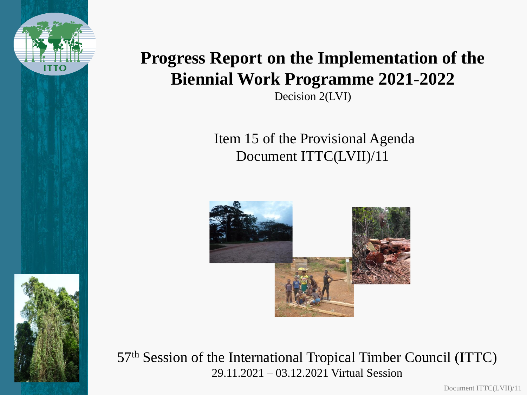

## **Progress Report on the Implementation of the Biennial Work Programme 2021-2022**

Decision 2(LVI)

Item 15 of the Provisional Agenda Document ITTC(LVII)/11



57th Session of the International Tropical Timber Council (ITTC) 29.11.2021 – 03.12.2021 Virtual Session

Document ITTC(LVII)/11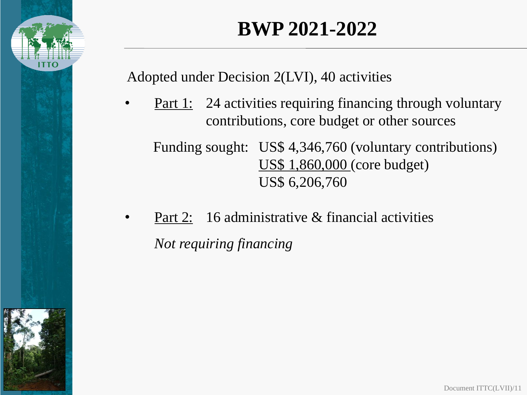

## **BWP 2021-2022**

Adopted under Decision 2(LVI), 40 activities

**Part 1:** 24 activities requiring financing through voluntary contributions, core budget or other sources

Funding sought: US\$ 4,346,760 (voluntary contributions) US\$ 1,860,000 (core budget) US\$ 6,206,760

Part 2: 16 administrative & financial activities *Not requiring financing*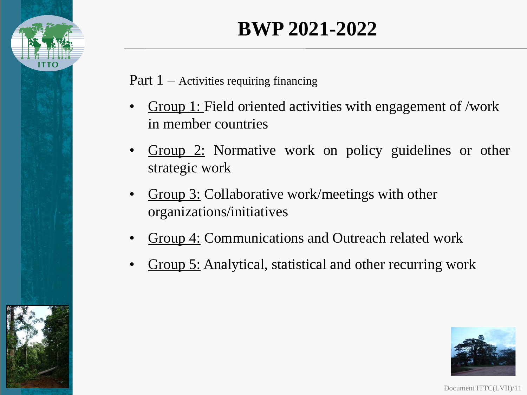

# **BWP 2021-2022**

Part  $1 -$  Activities requiring financing

- Group 1: Field oriented activities with engagement of /work in member countries
- Group 2: Normative work on policy guidelines or other strategic work
- Group 3: Collaborative work/meetings with other organizations/initiatives
- Group 4: Communications and Outreach related work
- Group 5: Analytical, statistical and other recurring work



Document ITTC(LVII)/11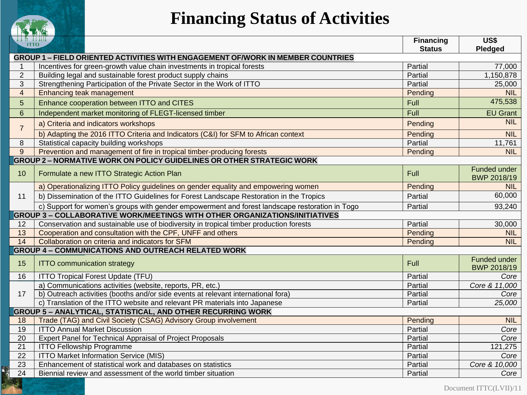

## **Financing Status of Activities**

| THE EILIE<br><b>ITTO</b>                                  |                                                                                                | <b>Financing</b><br><b>Status</b> | US\$<br>Pledged             |  |
|-----------------------------------------------------------|------------------------------------------------------------------------------------------------|-----------------------------------|-----------------------------|--|
|                                                           | <b>GROUP 1 – FIELD ORIENTED ACTIVITIES WITH ENGAGEMENT OF/WORK IN MEMBER COUNTRIES</b>         |                                   |                             |  |
| $\mathbf{1}$                                              | Incentives for green-growth value chain investments in tropical forests                        | Partial                           | 77,000                      |  |
| $\overline{2}$                                            | Building legal and sustainable forest product supply chains                                    | Partial                           | 1,150,878                   |  |
| 3                                                         | Strengthening Participation of the Private Sector in the Work of ITTO                          | Partial                           | 25,000                      |  |
| $\overline{4}$                                            | Enhancing teak management                                                                      | Pending                           | <b>NIL</b>                  |  |
| 5                                                         | Enhance cooperation between ITTO and CITES                                                     | Full                              | 475,538                     |  |
| $6\phantom{1}$                                            | Independent market monitoring of FLEGT-licensed timber                                         | Full                              | <b>EU Grant</b>             |  |
| $\overline{7}$                                            | a) Criteria and indicators workshops                                                           | Pending                           | <b>NIL</b>                  |  |
|                                                           | b) Adapting the 2016 ITTO Criteria and Indicators (C&I) for SFM to African context             | Pending                           | <b>NIL</b>                  |  |
| 8                                                         | Statistical capacity building workshops                                                        | Partial                           | 11,761                      |  |
| 9                                                         | Prevention and management of fire in tropical timber-producing forests                         | Pending                           | <b>NIL</b>                  |  |
|                                                           | <b>GROUP 2 - NORMATIVE WORK ON POLICY GUIDELINES OR OTHER STRATEGIC WORK</b>                   |                                   |                             |  |
| 10                                                        | Formulate a new ITTO Strategic Action Plan                                                     | <b>Full</b>                       | Funded under<br>BWP 2018/19 |  |
|                                                           | a) Operationalizing ITTO Policy guidelines on gender equality and empowering women             | Pending                           | <b>NIL</b>                  |  |
| 11                                                        | b) Dissemination of the ITTO Guidelines for Forest Landscape Restoration in the Tropics        | Partial                           | 60,000                      |  |
|                                                           | c) Support for women's groups with gender empowerment and forest landscape restoration in Togo | Partial                           | 93,240                      |  |
|                                                           | <b>GROUP 3 - COLLABORATIVE WORK/MEETINGS WITH OTHER ORGANIZATIONS/INITIATIVES</b>              |                                   |                             |  |
| 12                                                        | Conservation and sustainable use of biodiversity in tropical timber production forests         | Partial                           | 30,000                      |  |
| 13                                                        | Cooperation and consultation with the CPF, UNFF and others                                     | Pending                           | <b>NIL</b>                  |  |
| 14                                                        | Collaboration on criteria and indicators for SFM                                               | Pending                           | <b>NIL</b>                  |  |
| <b>GROUP 4 - COMMUNICATIONS AND OUTREACH RELATED WORK</b> |                                                                                                |                                   |                             |  |
| 15                                                        | <b>ITTO communication strategy</b>                                                             | Full                              | Funded under<br>BWP 2018/19 |  |
| 16                                                        | <b>ITTO Tropical Forest Update (TFU)</b>                                                       | Partial                           | Core                        |  |
|                                                           | a) Communications activities (website, reports, PR, etc.)                                      | Partial                           | Core & 11,000               |  |
| 17                                                        | b) Outreach activities (booths and/or side events at relevant international fora)              | Partial                           | Core                        |  |
|                                                           | c) Translation of the ITTO website and relevant PR materials into Japanese                     | Partial                           | 25,000                      |  |
|                                                           | <b>GROUP 5 - ANALYTICAL, STATISTICAL, AND OTHER RECURRING WORK</b>                             |                                   |                             |  |
| 18                                                        | Trade (TAG) and Civil Society (CSAG) Advisory Group involvement                                | Pending                           | <b>NIL</b>                  |  |
| 19                                                        | <b>ITTO Annual Market Discussion</b>                                                           | Partial                           | Core                        |  |
| 20<br>21                                                  | Expert Panel for Technical Appraisal of Project Proposals                                      | Partial                           | Core                        |  |
| 22                                                        | <b>ITTO Fellowship Programme</b><br><b>ITTO Market Information Service (MIS)</b>               | Partial<br>Partial                | 121,275<br>Core             |  |
| 23                                                        | Enhancement of statistical work and databases on statistics                                    | Partial                           | Core & 10,000               |  |
| 24                                                        | Biennial review and assessment of the world timber situation                                   | Partial                           | Core                        |  |
|                                                           |                                                                                                |                                   |                             |  |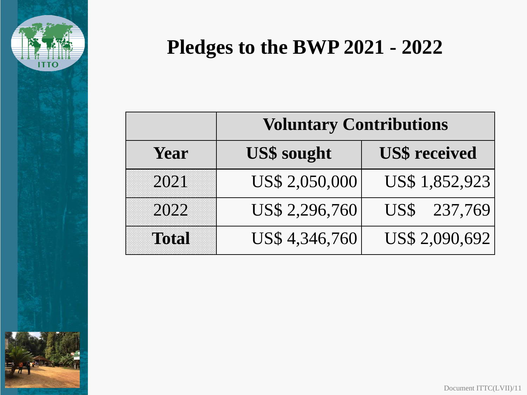

# **Pledges to the BWP 2021 - 2022**

|              | <b>Voluntary Contributions</b> |                      |  |
|--------------|--------------------------------|----------------------|--|
| Year         | <b>US\$</b> sought             | <b>US\$</b> received |  |
| 2021         | US\$ 2,050,000                 | US\$ 1,852,923       |  |
| 2022         | US\$ 2,296,760                 | US\$ 237,769         |  |
| <b>Total</b> | US\$4,346,760                  | US\$ 2,090,692       |  |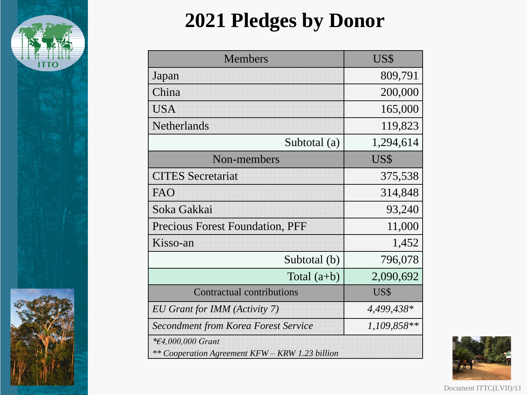

# **2021 Pledges by Donor**

| <b>Members</b>                                                              | US\$          |  |
|-----------------------------------------------------------------------------|---------------|--|
| Japan                                                                       | 809,791       |  |
| China                                                                       | 200,000       |  |
| <b>USA</b>                                                                  | 165,000       |  |
| <b>Netherlands</b>                                                          | 119,823       |  |
| Subtotal (a)                                                                | 1,294,614     |  |
| Non-members                                                                 | US\$          |  |
| <b>CITES Secretariat</b>                                                    | 375,538       |  |
| FAO                                                                         | 314,848       |  |
| Soka Gakkai                                                                 | 93,240        |  |
| <b>Precious Forest Foundation, PFF</b>                                      | 11,000        |  |
| Kisso-an                                                                    | 1,452         |  |
| Subtotal (b)                                                                | 796,078       |  |
| Total $(a+b)$                                                               | 2,090,692     |  |
| <b>Contractual contributions</b>                                            | US\$          |  |
| EU Grant for IMM (Activity 7)                                               | 4,499,438*    |  |
| <b>Secondment from Korea Forest Service</b>                                 | $1,109,858**$ |  |
| <i>*€4,000,000 Grant</i><br>** Cooperation Agreement KFW – KRW 1.23 billion |               |  |



Document ITTC(LVII)/11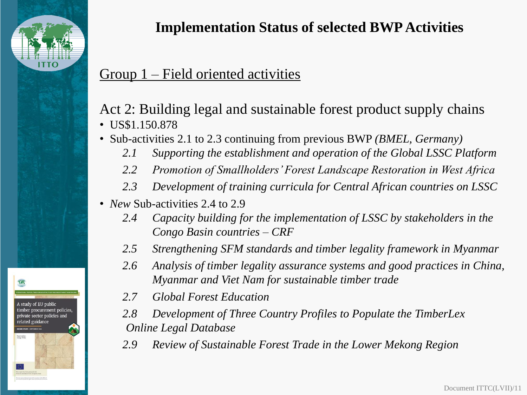

### **Implementation Status of selected BWP Activities**

### Group 1 – Field oriented activities

#### Act 2: Building legal and sustainable forest product supply chains • US\$1.150.878

- Sub-activities 2.1 to 2.3 continuing from previous BWP *(BMEL, Germany)*
	- *2.1 Supporting the establishment and operation of the Global LSSC Platform*
	- *2.2 Promotion of Smallholders' Forest Landscape Restoration in West Africa*
	- *2.3 Development of training curricula for Central African countries on LSSC*
- *New* Sub-activities 2.4 to 2.9
	- *2.4 Capacity building for the implementation of LSSC by stakeholders in the Congo Basin countries – CRF*
	- *2.5 Strengthening SFM standards and timber legality framework in Myanmar*
	- *2.6 Analysis of timber legality assurance systems and good practices in China, Myanmar and Viet Nam for sustainable timber trade*
	- *2.7 Global Forest Education*
	- *2.8 Development of Three Country Profiles to Populate the TimberLex Online Legal Database*
	- *2.9 Review of Sustainable Forest Trade in the Lower Mekong Region*



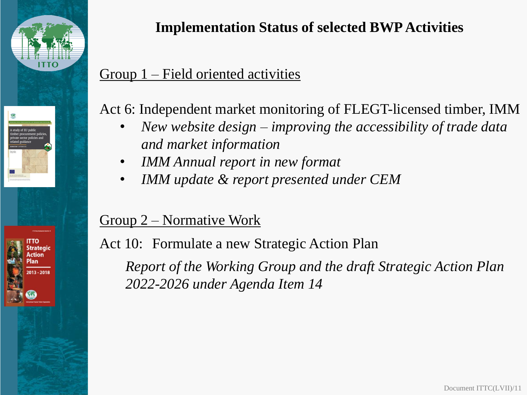

## **Implementation Status of selected BWP Activities**

### Group 1 – Field oriented activities

Act 6: Independent market monitoring of FLEGT-licensed timber, IMM

- *New website design – improving the accessibility of trade data and market information*
- *IMM Annual report in new format*
- *IMM update & report presented under CEM*

### Group 2 – Normative Work

Act 10: Formulate a new Strategic Action Plan

*Report of the Working Group and the draft Strategic Action Plan 2022-2026 under Agenda Item 14*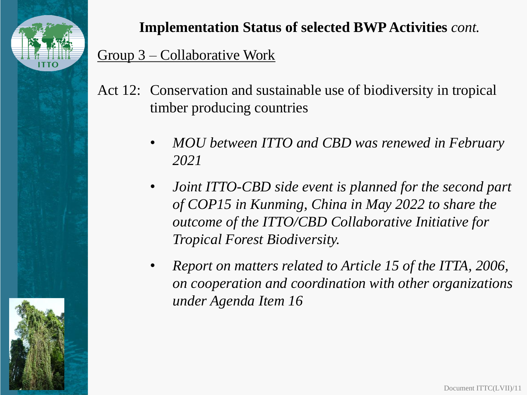

Group 3 – Collaborative Work **Implementation Status of selected BWP Activities** *cont.*

- Act 12: Conservation and sustainable use of biodiversity in tropical timber producing countries
	- *MOU between ITTO and CBD was renewed in February 2021*
	- *Joint ITTO-CBD side event is planned for the second part of COP15 in Kunming, China in May 2022 to share the outcome of the ITTO/CBD Collaborative Initiative for Tropical Forest Biodiversity.*
	- *Report on matters related to Article 15 of the ITTA, 2006, on cooperation and coordination with other organizations under Agenda Item 16*

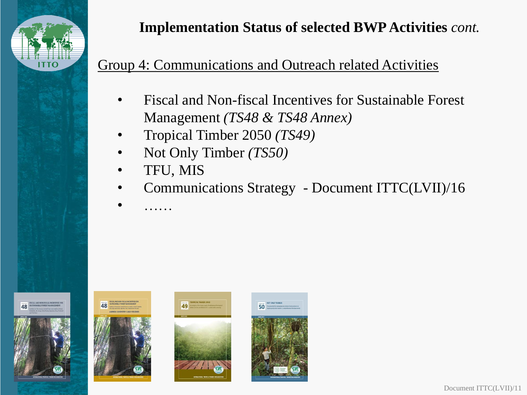

### **Implementation Status of selected BWP Activities** *cont.*

#### Group 4: Communications and Outreach related Activities

- Fiscal and Non-fiscal Incentives for Sustainable Forest Management *(TS48 & TS48 Annex)*
- Tropical Timber 2050 *(TS49)*
- Not Only Timber *(TS50)*
- TFU, MIS

• ……

• Communications Strategy - Document ITTC(LVII)/16